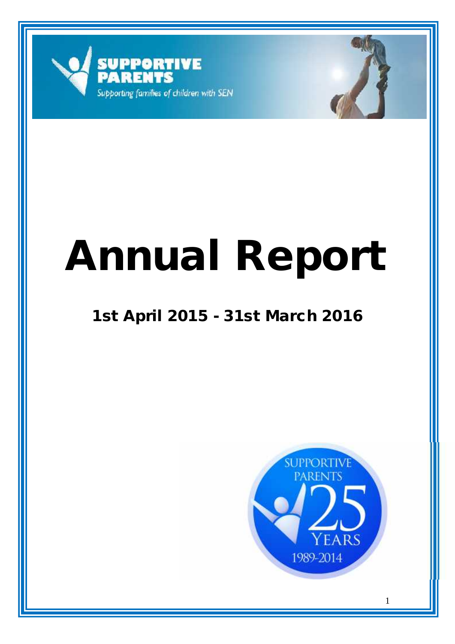



# **Annual Report**

# **1st April 2015 - 31st March 2016**

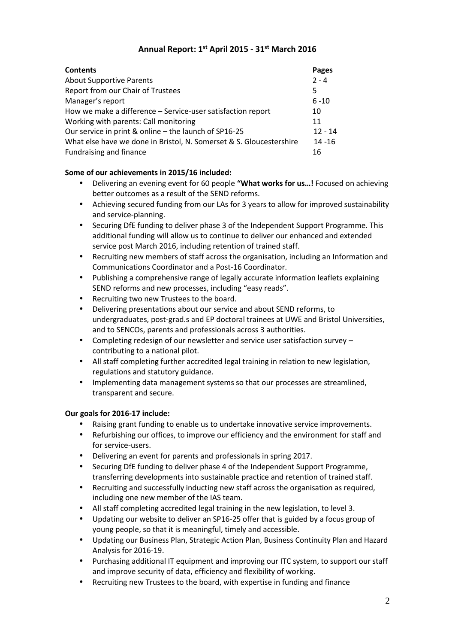# **Annual Report: 1 st April 2015 - 31st March 2016**

| <b>Contents</b>                                                     | Pages     |
|---------------------------------------------------------------------|-----------|
| <b>About Supportive Parents</b>                                     | $2 - 4$   |
| Report from our Chair of Trustees                                   | 5         |
| Manager's report                                                    | $6 - 10$  |
| How we make a difference - Service-user satisfaction report         | 10        |
| Working with parents: Call monitoring                               | 11        |
| Our service in print & online - the launch of SP16-25               | $12 - 14$ |
| What else have we done in Bristol, N. Somerset & S. Gloucestershire | $14 - 16$ |
| Fundraising and finance                                             | 16        |

# **Some of our achievements in 2015/16 included:**

- Delivering an evening event for 60 people **"What works for us…!** Focused on achieving better outcomes as a result of the SEND reforms.
- Achieving secured funding from our LAs for 3 years to allow for improved sustainability and service-planning.
- Securing DfE funding to deliver phase 3 of the Independent Support Programme. This additional funding will allow us to continue to deliver our enhanced and extended service post March 2016, including retention of trained staff.
- Recruiting new members of staff across the organisation, including an Information and Communications Coordinator and a Post-16 Coordinator.
- Publishing a comprehensive range of legally accurate information leaflets explaining SEND reforms and new processes, including "easy reads".
- Recruiting two new Trustees to the board.
- Delivering presentations about our service and about SEND reforms, to undergraduates, post-grad.s and EP doctoral trainees at UWE and Bristol Universities, and to SENCOs, parents and professionals across 3 authorities.
- Completing redesign of our newsletter and service user satisfaction survey contributing to a national pilot.
- All staff completing further accredited legal training in relation to new legislation, regulations and statutory guidance.
- Implementing data management systems so that our processes are streamlined, transparent and secure.

# **Our goals for 2016-17 include:**

- Raising grant funding to enable us to undertake innovative service improvements.
- Refurbishing our offices, to improve our efficiency and the environment for staff and for service-users.
- Delivering an event for parents and professionals in spring 2017.
- Securing DfE funding to deliver phase 4 of the Independent Support Programme, transferring developments into sustainable practice and retention of trained staff.
- Recruiting and successfully inducting new staff across the organisation as required, including one new member of the IAS team.
- All staff completing accredited legal training in the new legislation, to level 3.
- Updating our website to deliver an SP16-25 offer that is guided by a focus group of young people, so that it is meaningful, timely and accessible.
- Updating our Business Plan, Strategic Action Plan, Business Continuity Plan and Hazard Analysis for 2016-19.
- Purchasing additional IT equipment and improving our ITC system, to support our staff and improve security of data, efficiency and flexibility of working.
- Recruiting new Trustees to the board, with expertise in funding and finance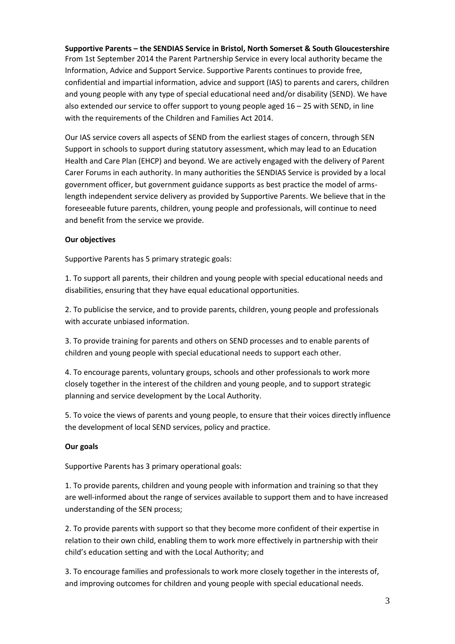**Supportive Parents – the SENDIAS Service in Bristol, North Somerset & South Gloucestershire** From 1st September 2014 the Parent Partnership Service in every local authority became the Information, Advice and Support Service. Supportive Parents continues to provide free, confidential and impartial information, advice and support (IAS) to parents and carers, children and young people with any type of special educational need and/or disability (SEND). We have also extended our service to offer support to young people aged  $16 - 25$  with SEND, in line with the requirements of the Children and Families Act 2014.

Our IAS service covers all aspects of SEND from the earliest stages of concern, through SEN Support in schools to support during statutory assessment, which may lead to an Education Health and Care Plan (EHCP) and beyond. We are actively engaged with the delivery of Parent Carer Forums in each authority. In many authorities the SENDIAS Service is provided by a local government officer, but government guidance supports as best practice the model of armslength independent service delivery as provided by Supportive Parents. We believe that in the foreseeable future parents, children, young people and professionals, will continue to need and benefit from the service we provide.

# **Our objectives**

Supportive Parents has 5 primary strategic goals:

1. To support all parents, their children and young people with special educational needs and disabilities, ensuring that they have equal educational opportunities.

2. To publicise the service, and to provide parents, children, young people and professionals with accurate unbiased information.

3. To provide training for parents and others on SEND processes and to enable parents of children and young people with special educational needs to support each other.

4. To encourage parents, voluntary groups, schools and other professionals to work more closely together in the interest of the children and young people, and to support strategic planning and service development by the Local Authority.

5. To voice the views of parents and young people, to ensure that their voices directly influence the development of local SEND services, policy and practice.

#### **Our goals**

Supportive Parents has 3 primary operational goals:

1. To provide parents, children and young people with information and training so that they are well-informed about the range of services available to support them and to have increased understanding of the SEN process;

2. To provide parents with support so that they become more confident of their expertise in relation to their own child, enabling them to work more effectively in partnership with their child's education setting and with the Local Authority; and

3. To encourage families and professionals to work more closely together in the interests of, and improving outcomes for children and young people with special educational needs.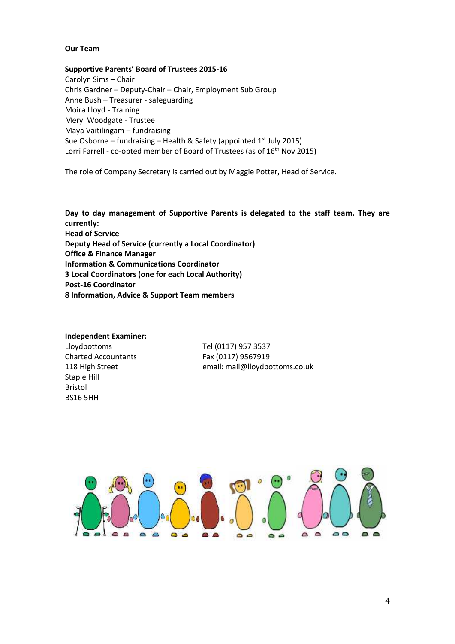#### **Our Team**

#### **Supportive Parents' Board of Trustees 2015-16**

Carolyn Sims – Chair Chris Gardner – Deputy-Chair – Chair, Employment Sub Group Anne Bush – Treasurer - safeguarding Moira Lloyd - Training Meryl Woodgate - Trustee Maya Vaitilingam – fundraising Sue Osborne – fundraising – Health & Safety (appointed 1st July 2015) Lorri Farrell - co-opted member of Board of Trustees (as of 16<sup>th</sup> Nov 2015)

The role of Company Secretary is carried out by Maggie Potter, Head of Service.

**Day to day management of Supportive Parents is delegated to the staff team. They are currently: Head of Service Deputy Head of Service (currently a Local Coordinator) Office & Finance Manager Information & Communications Coordinator 3 Local Coordinators (one for each Local Authority) Post-16 Coordinator 8 Information, Advice & Support Team members**

#### **Independent Examiner:**

Lloydbottoms Tel (0117) 957 3537 Charted Accountants Fax (0117) 9567919 Staple Hill Bristol BS16 5HH

118 High Street email: mail@lloydbottoms.co.uk

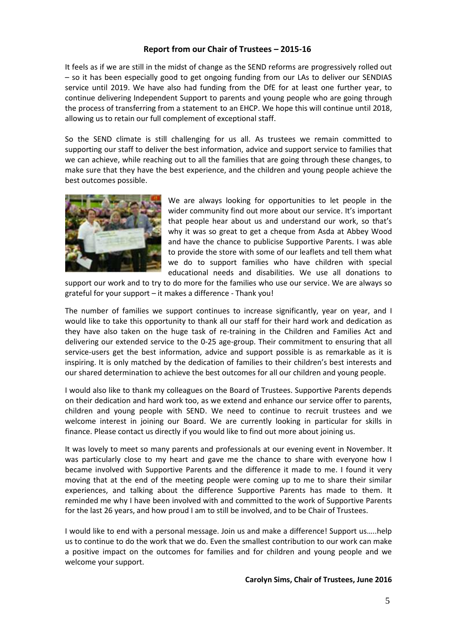# **Report from our Chair of Trustees – 2015-16**

It feels as if we are still in the midst of change as the SEND reforms are progressively rolled out – so it has been especially good to get ongoing funding from our LAs to deliver our SENDIAS service until 2019. We have also had funding from the DfE for at least one further year, to continue delivering Independent Support to parents and young people who are going through the process of transferring from a statement to an EHCP. We hope this will continue until 2018, allowing us to retain our full complement of exceptional staff.

So the SEND climate is still challenging for us all. As trustees we remain committed to supporting our staff to deliver the best information, advice and support service to families that we can achieve, while reaching out to all the families that are going through these changes, to make sure that they have the best experience, and the children and young people achieve the best outcomes possible.



We are always looking for opportunities to let people in the wider community find out more about our service. It's important that people hear about us and understand our work, so that's why it was so great to get a cheque from Asda at Abbey Wood and have the chance to publicise Supportive Parents. I was able to provide the store with some of our leaflets and tell them what we do to support families who have children with special educational needs and disabilities. We use all donations to

support our work and to try to do more for the families who use our service. We are always so grateful for your support – it makes a difference - Thank you!

The number of families we support continues to increase significantly, year on year, and I would like to take this opportunity to thank all our staff for their hard work and dedication as they have also taken on the huge task of re-training in the Children and Families Act and delivering our extended service to the 0-25 age-group. Their commitment to ensuring that all service-users get the best information, advice and support possible is as remarkable as it is inspiring. It is only matched by the dedication of families to their children's best interests and our shared determination to achieve the best outcomes for all our children and young people.

I would also like to thank my colleagues on the Board of Trustees. Supportive Parents depends on their dedication and hard work too, as we extend and enhance our service offer to parents, children and young people with SEND. We need to continue to recruit trustees and we welcome interest in joining our Board. We are currently looking in particular for skills in finance. Please contact us directly if you would like to find out more about joining us.

It was lovely to meet so many parents and professionals at our evening event in November. It was particularly close to my heart and gave me the chance to share with everyone how I became involved with Supportive Parents and the difference it made to me. I found it very moving that at the end of the meeting people were coming up to me to share their similar experiences, and talking about the difference Supportive Parents has made to them. It reminded me why I have been involved with and committed to the work of Supportive Parents for the last 26 years, and how proud I am to still be involved, and to be Chair of Trustees.

I would like to end with a personal message. Join us and make a difference! Support us…..help us to continue to do the work that we do. Even the smallest contribution to our work can make a positive impact on the outcomes for families and for children and young people and we welcome your support.

#### **Carolyn Sims, Chair of Trustees, June 2016**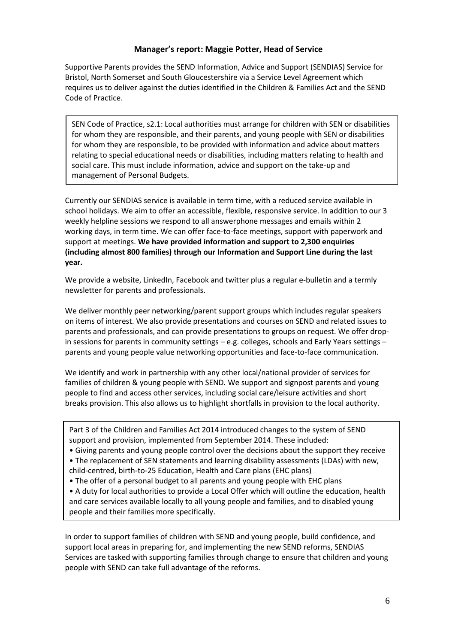# **Manager's report: Maggie Potter, Head of Service**

Supportive Parents provides the SEND Information, Advice and Support (SENDIAS) Service for Bristol, North Somerset and South Gloucestershire via a Service Level Agreement which requires us to deliver against the duties identified in the Children & Families Act and the SEND Code of Practice.

SEN Code of Practice, s2.1: Local authorities must arrange for children with SEN or disabilities for whom they are responsible, and their parents, and young people with SEN or disabilities for whom they are responsible, to be provided with information and advice about matters relating to special educational needs or disabilities, including matters relating to health and social care. This must include information, advice and support on the take-up and management of Personal Budgets.

Currently our SENDIAS service is available in term time, with a reduced service available in school holidays. We aim to offer an accessible, flexible, responsive service. In addition to our 3 weekly helpline sessions we respond to all answerphone messages and emails within 2 working days, in term time. We can offer face-to-face meetings, support with paperwork and support at meetings. **We have provided information and support to 2,300 enquiries (including almost 800 families) through our Information and Support Line during the last year.**

We provide a website, LinkedIn, Facebook and twitter plus a regular e-bulletin and a termly newsletter for parents and professionals.

We deliver monthly peer networking/parent support groups which includes regular speakers on items of interest. We also provide presentations and courses on SEND and related issues to parents and professionals, and can provide presentations to groups on request. We offer dropin sessions for parents in community settings – e.g. colleges, schools and Early Years settings – parents and young people value networking opportunities and face-to-face communication.

We identify and work in partnership with any other local/national provider of services for families of children & young people with SEND. We support and signpost parents and young people to find and access other services, including social care/leisure activities and short breaks provision. This also allows us to highlight shortfalls in provision to the local authority.

Part 3 of the Children and Families Act 2014 introduced changes to the system of SEND support and provision, implemented from September 2014. These included:

- Giving parents and young people control over the decisions about the support they receive
- The replacement of SEN statements and learning disability assessments (LDAs) with new, child-centred, birth-to-25 Education, Health and Care plans (EHC plans)
- The offer of a personal budget to all parents and young people with EHC plans

• A duty for local authorities to provide a Local Offer which will outline the education, health and care services available locally to all young people and families, and to disabled young people and their families more specifically.

In order to support families of children with SEND and young people, build confidence, and support local areas in preparing for, and implementing the new SEND reforms, SENDIAS Services are tasked with supporting families through change to ensure that children and young people with SEND can take full advantage of the reforms.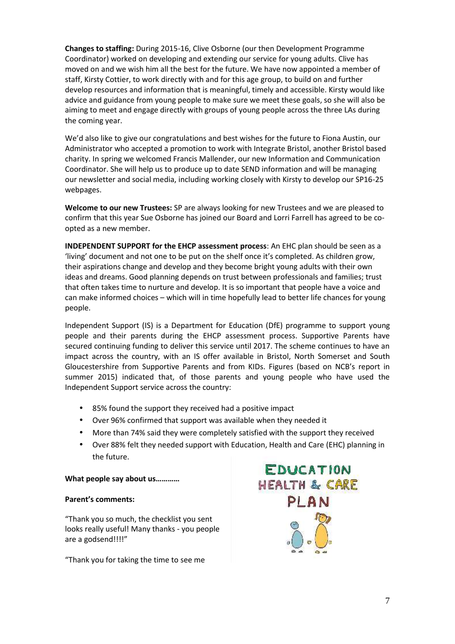**Changes to staffing:** During 2015-16, Clive Osborne (our then Development Programme Coordinator) worked on developing and extending our service for young adults. Clive has moved on and we wish him all the best for the future. We have now appointed a member of staff, Kirsty Cottier, to work directly with and for this age group, to build on and further develop resources and information that is meaningful, timely and accessible. Kirsty would like advice and guidance from young people to make sure we meet these goals, so she will also be aiming to meet and engage directly with groups of young people across the three LAs during the coming year.

We'd also like to give our congratulations and best wishes for the future to Fiona Austin, our Administrator who accepted a promotion to work with Integrate Bristol, another Bristol based charity. In spring we welcomed Francis Mallender, our new Information and Communication Coordinator. She will help us to produce up to date SEND information and will be managing our newsletter and social media, including working closely with Kirsty to develop our SP16-25 webpages.

**Welcome to our new Trustees:** SP are always looking for new Trustees and we are pleased to confirm that this year Sue Osborne has joined our Board and Lorri Farrell has agreed to be co opted as a new member.

**INDEPENDENT SUPPORT for the EHCP assessment process**: An EHC plan should be seen as a 'living' document and not one to be put on the shelf once it's completed. As children grow, their aspirations change and develop and they become bright young adults with their own ideas and dreams. Good planning depends on trust between professionals and families; trust that often takes time to nurture and develop. It is so important that people have a voice and can make informed choices – which will in time hopefully lead to better life chances for young people.

Independent Support (IS) is a Department for Education (DfE) programme to support young people and their parents during the EHCP assessment process. Supportive Parents have secured continuing funding to deliver this service until 2017. The scheme continues to have an impact across the country, with an IS offer available in Bristol, North Somerset and South Gloucestershire from Supportive Parents and from KIDs. Figures (based on NCB's report in summer 2015) indicated that, of those parents and young people who have used the Independent Support service across the country:

- 85% found the support they received had a positive impact
- Over 96% confirmed that support was available when they needed it
- More than 74% said they were completely satisfied with the support they received
- Over 88% felt they needed support with Education, Health and Care (EHC) planning in the future.

#### **What people say about us…………**

#### **Parent's comments:**

"Thank you so much, the checklist you sent looks really useful! Many thanks - you people are a godsend!!!!"

"Thank you for taking the time to see me

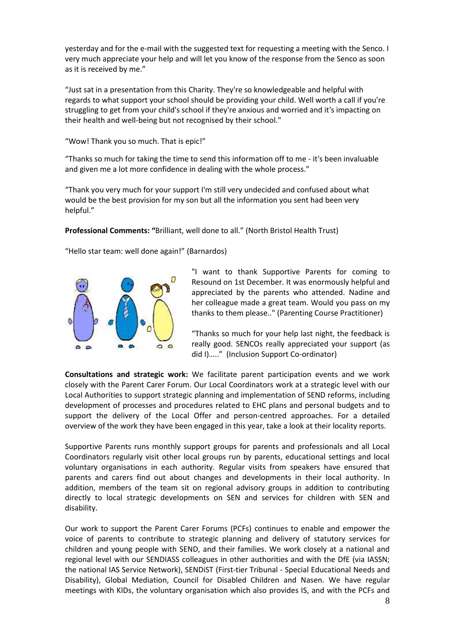yesterday and for the e-mail with the suggested text for requesting a meeting with the Senco. I very much appreciate your help and will let you know of the response from the Senco as soon as it is received by me."

"Just sat in a presentation from this Charity. They're so knowledgeable and helpful with regards to what support your school should be providing your child. Well worth a call if you're struggling to get from your child's school if they're anxious and worried and it's impacting on their health and well-being but not recognised by their school."

"Wow! Thank you so much. That is epic!"

"Thanks so much for taking the time to send this information off to me - it's been invaluable and given me a lot more confidence in dealing with the whole process."

"Thank you very much for your support I'm still very undecided and confused about what would be the best provision for my son but all the information you sent had been very helpful."

**Professional Comments: "**Brilliant, well done to all." (North Bristol Health Trust)

"Hello star team: well done again!" (Barnardos)



"I want to thank Supportive Parents for coming to Resound on 1st December. It was enormously helpful and appreciated by the parents who attended. Nadine and her colleague made a great team. Would you pass on my thanks to them please.." (Parenting Course Practitioner)

"Thanks so much for your help last night, the feedback is really good. SENCOs really appreciated your support (as did I)….." (Inclusion Support Co-ordinator)

**Consultations and strategic work:** We facilitate parent participation events and we work closely with the Parent Carer Forum. Our Local Coordinators work at a strategic level with our Local Authorities to support strategic planning and implementation of SEND reforms, including development of processes and procedures related to EHC plans and personal budgets and to support the delivery of the Local Offer and person-centred approaches. For a detailed overview of the work they have been engaged in this year, take a look at their locality reports.

Supportive Parents runs monthly support groups for parents and professionals and all Local Coordinators regularly visit other local groups run by parents, educational settings and local voluntary organisations in each authority. Regular visits from speakers have ensured that parents and carers find out about changes and developments in their local authority. In addition, members of the team sit on regional advisory groups in addition to contributing directly to local strategic developments on SEN and services for children with SEN and disability.

Our work to support the Parent Carer Forums (PCFs) continues to enable and empower the voice of parents to contribute to strategic planning and delivery of statutory services for children and young people with SEND, and their families. We work closely at a national and regional level with our SENDIASS colleagues in other authorities and with the DfE (via IASSN; the national IAS Service Network), SENDiST (First-tier Tribunal - Special Educational Needs and Disability), Global Mediation, Council for Disabled Children and Nasen. We have regular meetings with KIDs, the voluntary organisation which also provides IS, and with the PCFs and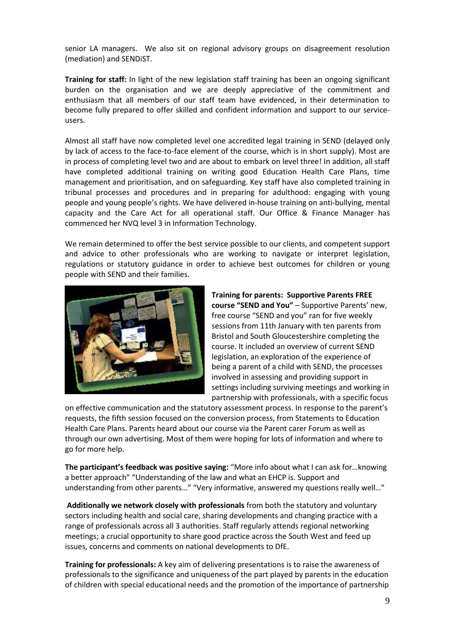senior LA managers. We also sit on regional advisory groups on disagreement resolution (mediation) and SENDiST.

**Training for staff:** In light of the new legislation staff training has been an ongoing significant burden on the organisation and we are deeply appreciative of the commitment and enthusiasm that all members of our staff team have evidenced, in their determination to become fully prepared to offer skilled and confident information and support to our service users.

Almost all staff have now completed level one accredited legal training in SEND (delayed only by lack of access to the face-to-face element of the course, which is in short supply). Most are in process of completing level two and are about to embark on level three! In addition, all staff have completed additional training on writing good Education Health Care Plans, time management and prioritisation, and on safeguarding. Key staff have also completed training in tribunal processes and procedures and in preparing for adulthood: engaging with young people and young people's rights. We have delivered in-house training on anti-bullying, mental capacity and the Care Act for all operational staff. Our Office & Finance Manager has commenced her NVQ level 3 in Information Technology.

We remain determined to offer the best service possible to our clients, and competent support and advice to other professionals who are working to navigate or interpret legislation, regulations or statutory guidance in order to achieve best outcomes for children or young people with SEND and their families.



**Training for parents: Supportive Parents FREE course "SEND and You"** – Supportive Parents' new, free course "SEND and you" ran for five weekly sessions from 11th January with ten parents from Bristol and South Gloucestershire completing the course. It included an overview of current SEND legislation, an exploration of the experience of being a parent of a child with SEND, the processes involved in assessing and providing support in settings including surviving meetings and working in partnership with professionals, with a specific focus

on effective communication and the statutory assessment process. In response to the parent's requests, the fifth session focused on the conversion process, from Statements to Education Health Care Plans. Parents heard about our course via the Parent carer Forum as well as through our own advertising. Most of them were hoping for lots of information and where to go for more help.

**The participant's feedback was positive saying:** "More info about what I can ask for…knowing a better approach" "Understanding of the law and what an EHCP is. Support and understanding from other parents…" "Very informative, answered my questions really well…"

**Additionally we network closely with professionals** from both the statutory and voluntary sectors including health and social care, sharing developments and changing practice with a range of professionals across all 3 authorities. Staff regularly attends regional networking meetings; a crucial opportunity to share good practice across the South West and feed up issues, concerns and comments on national developments to DfE.

**Training for professionals:** A key aim of delivering presentations is to raise the awareness of professionals to the significance and uniqueness of the part played by parents in the education of children with special educational needs and the promotion of the importance of partnership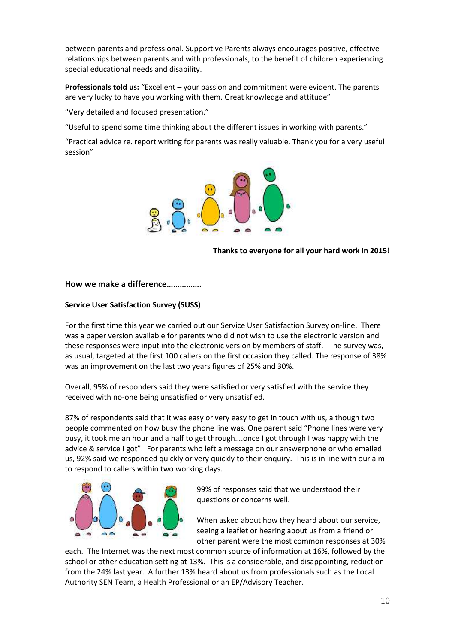between parents and professional. Supportive Parents always encourages positive, effective relationships between parents and with professionals, to the benefit of children experiencing special educational needs and disability.

**Professionals told us:** "Excellent – your passion and commitment were evident. The parents are very lucky to have you working with them. Great knowledge and attitude"

"Very detailed and focused presentation."

"Useful to spend some time thinking about the different issues in working with parents."

"Practical advice re. report writing for parents was really valuable. Thank you for a very useful session"



**Thanks to everyone for all your hard work in 2015!**

## **How we make a difference…………….**

## **Service User Satisfaction Survey (SUSS)**

For the first time this year we carried out our Service User Satisfaction Survey on-line. There was a paper version available for parents who did not wish to use the electronic version and these responses were input into the electronic version by members of staff. The survey was, as usual, targeted at the first 100 callers on the first occasion they called. The response of 38% was an improvement on the last two years figures of 25% and 30%.

Overall, 95% of responders said they were satisfied or very satisfied with the service they received with no-one being unsatisfied or very unsatisfied.

87% of respondents said that it was easy or very easy to get in touch with us, although two people commented on how busy the phone line was. One parent said "Phone lines were very busy, it took me an hour and a half to get through….once I got through I was happy with the advice & service I got". For parents who left a message on our answerphone or who emailed us, 92% said we responded quickly or very quickly to their enquiry. This is in line with our aim to respond to callers within two working days.



99% of responses said that we understood their questions or concerns well.

When asked about how they heard about our service, seeing a leaflet or hearing about us from a friend or other parent were the most common responses at 30%

each. The Internet was the next most common source of information at 16%, followed by the school or other education setting at 13%. This is a considerable, and disappointing, reduction from the 24% last year. A further 13% heard about us from professionals such as the Local Authority SEN Team, a Health Professional or an EP/Advisory Teacher.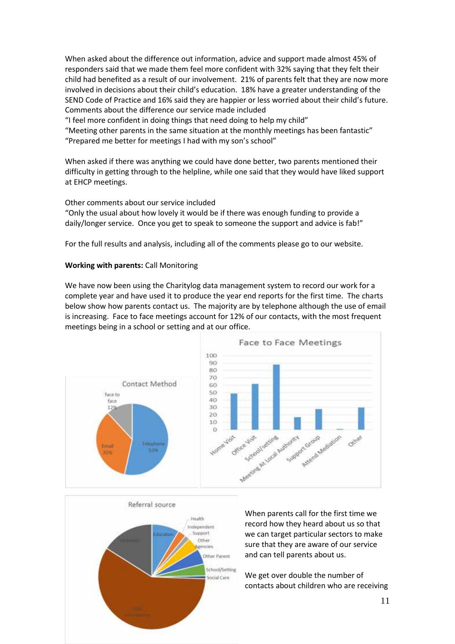When asked about the difference out information, advice and support made almost 45% of responders said that we made them feel more confident with 32% saying that they felt their child had benefited as a result of our involvement. 21% of parents felt that they are now more involved in decisions about their child's education. 18% have a greater understanding of the SEND Code of Practice and 16% said they are happier or less worried about their child's future. Comments about the difference our service made included

"I feel more confident in doing things that need doing to help my child"

"Meeting other parents in the same situation at the monthly meetings has been fantastic" "Prepared me better for meetings I had with my son's school"

When asked if there was anything we could have done better, two parents mentioned their difficulty in getting through to the helpline, while one said that they would have liked support at EHCP meetings.

## Other comments about our service included

"Only the usual about how lovely it would be if there was enough funding to provide a daily/longer service. Once you get to speak to someone the support and advice is fab!"

For the full results and analysis, including all of the comments please go to our website.

#### **Working with parents:** Call Monitoring

We have now been using the Charitylog data management system to record our work for a complete year and have used it to produce the year end reports for the first time. The charts below show how parents contact us. The majority are by telephone although the use of email is increasing. Face to face meetings account for 12% of our contacts, with the most frequent meetings being in a school or setting and at our office.





When parents call for the first time we record how they heard about us so that we can target particular sectors to make sure that they are aware of our service and can tell parents about us.

We get over double the number of contacts about children who are receiving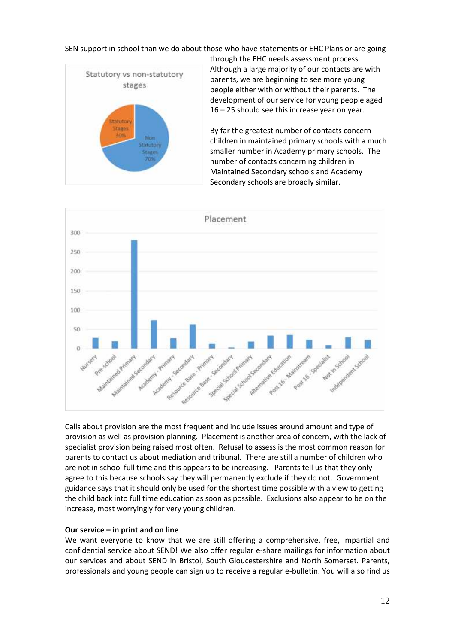SEN support in school than we do about those who have statements or EHC Plans or are going



through the EHC needs assessment process. Although a large majority of our contacts are with parents, we are beginning to see more young people either with or without their parents. The development of our service for young people aged 16 – 25 should see this increase year on year.

By far the greatest number of contacts concern children in maintained primary schools with a much smaller number in Academy primary schools. The number of contacts concerning children in Maintained Secondary schools and Academy Secondary schools are broadly similar.



Calls about provision are the most frequent and include issues around amount and type of provision as well as provision planning. Placement is another area of concern, with the lack of specialist provision being raised most often. Refusal to assess is the most common reason for parents to contact us about mediation and tribunal. There are still a number of children who are not in school full time and this appears to be increasing. Parents tell us that they only agree to this because schools say they will permanently exclude if they do not. Government guidance says that it should only be used for the shortest time possible with a view to getting the child back into full time education as soon as possible. Exclusions also appear to be on the increase, most worryingly for very young children.

#### **Our service – in print and on line**

We want everyone to know that we are still offering a comprehensive, free, impartial and confidential service about SEND! We also offer regular e-share mailings for information about our services and about SEND in Bristol, South Gloucestershire and North Somerset. Parents, professionals and young people can sign up to receive a regular e-bulletin. You will also find us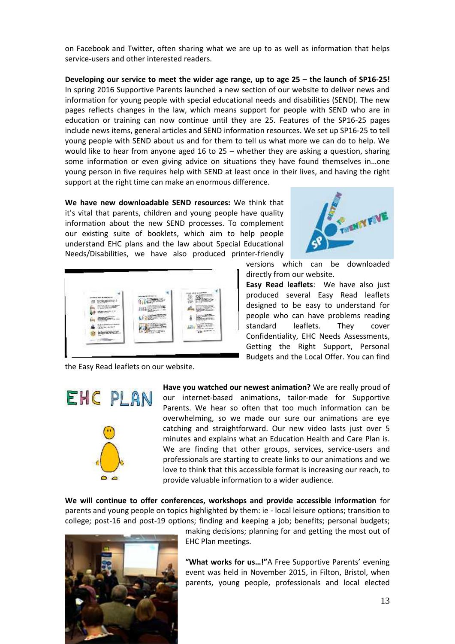on Facebook and Twitter, often sharing what we are up to as well as information that helps service-users and other interested readers.

**Developing our service to meet the wider age range, up to age 25 – the launch of SP16-25!** In spring 2016 Supportive Parents launched a new section of our website to deliver news and information for young people with special educational needs and disabilities (SEND). The new pages reflects changes in the law, which means support for people with SEND who are in education or training can now continue until they are 25. Features of the SP16-25 pages include news items, general articles and SEND information resources. We set up SP16-25 to tell young people with SEND about us and for them to tell us what more we can do to help. We would like to hear from anyone aged 16 to 25 – whether they are asking a question, sharing some information or even giving advice on situations they have found themselves in…one young person in five requires help with SEND at least once in their lives, and having the right support at the right time can make an enormous difference.

**We have new downloadable SEND resources:** We think that it's vital that parents, children and young people have quality information about the new SEND processes. To complement our existing suite of booklets, which aim to help people understand EHC plans and the law about Special Educational Needs/Disabilities, we have also produced printer-friendly



the Easy Read leaflets on our website.



**Have you watched our newest animation?** We are really proud of our internet-based animations, tailor-made for Supportive Parents. We hear so often that too much information can be overwhelming, so we made our sure our animations are eye catching and straightforward. Our new video lasts just over 5 minutes and explains what an Education Health and Care Plan is. We are finding that other groups, services, service-users and professionals are starting to create links to our animations and we love to think that this accessible format is increasing our reach, to provide valuable information to a wider audience.

**We will continue to offer conferences, workshops and provide accessible information** for parents and young people on topics highlighted by them: ie - local leisure options; transition to college; post-16 and post-19 options; finding and keeping a job; benefits; personal budgets;



making decisions; planning for and getting the most out of EHC Plan meetings.

**"What works for us…!"**A Free Supportive Parents' evening event was held in November 2015, in Filton, Bristol, when parents, young people, professionals and local elected



versions which can be downloaded directly from our website.

**Easy Read leaflets**: We have also just produced several Easy Read leaflets designed to be easy to understand for people who can have problems reading standard leaflets. They cover Confidentiality, EHC Needs Assessments, Getting the Right Support, Personal Budgets and the Local Offer. You can find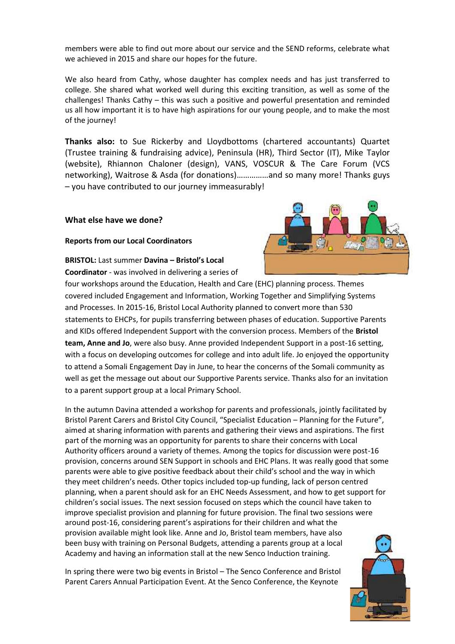members were able to find out more about our service and the SEND reforms, celebrate what we achieved in 2015 and share our hopes for the future.

We also heard from Cathy, whose daughter has complex needs and has just transferred to college. She shared what worked well during this exciting transition, as well as some of the challenges! Thanks Cathy – this was such a positive and powerful presentation and reminded us all how important it is to have high aspirations for our young people, and to make the most of the journey!

**Thanks also:** to Sue Rickerby and Lloydbottoms (chartered accountants) Quartet (Trustee training & fundraising advice), Peninsula (HR), Third Sector (IT), Mike Taylor (website), Rhiannon Chaloner (design), VANS, VOSCUR & The Care Forum (VCS networking), Waitrose & Asda (for donations)……………and so many more! Thanks guys – you have contributed to our journey immeasurably!

#### **What else have we done?**

#### **Reports from our Local Coordinators**

# **BRISTOL:** Last summer **Davina – Bristol's Local**

to a parent support group at a local Primary School.

**Coordinator** - was involved in delivering a series of four workshops around the Education, Health and Care (EHC) planning process. Themes covered included Engagement and Information, Working Together and Simplifying Systems and Processes. In 2015-16, Bristol Local Authority planned to convert more than 530 statements to EHCPs, for pupils transferring between phases of education. Supportive Parents and KIDs offered Independent Support with the conversion process. Members of the **Bristol team, Anne and Jo**, were also busy. Anne provided Independent Support in a post-16 setting, with a focus on developing outcomes for college and into adult life. Jo enjoyed the opportunity to attend a Somali Engagement Day in June, to hear the concerns of the Somali community as

In the autumn Davina attended a workshop for parents and professionals, jointly facilitated by Bristol Parent Carers and Bristol City Council, "Specialist Education – Planning for the Future", aimed at sharing information with parents and gathering their views and aspirations. The first part of the morning was an opportunity for parents to share their concerns with Local Authority officers around a variety of themes. Among the topics for discussion were post-16 provision, concerns around SEN Support in schools and EHC Plans. It was really good that some parents were able to give positive feedback about their child's school and the way in which they meet children's needs. Other topics included top-up funding, lack of person centred planning, when a parent should ask for an EHC Needs Assessment, and how to get support for children's social issues. The next session focused on steps which the council have taken to improve specialist provision and planning for future provision. The final two sessions were around post-16, considering parent's aspirations for their children and what the provision available might look like. Anne and Jo, Bristol team members, have also been busy with training on Personal Budgets, attending a parents group at a local Academy and having an information stall at the new Senco Induction training.

well as get the message out about our Supportive Parents service. Thanks also for an invitation

In spring there were two big events in Bristol – The Senco Conference and Bristol Parent Carers Annual Participation Event. At the Senco Conference, the Keynote



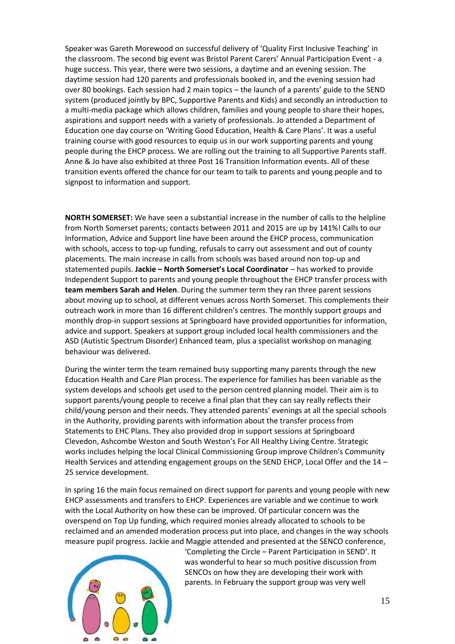Speaker was Gareth Morewood on successful delivery of 'Quality First Inclusive Teaching' in the classroom. The second big event was Bristol Parent Carers' Annual Participation Event - a huge success. This year, there were two sessions, a daytime and an evening session. The daytime session had 120 parents and professionals booked in, and the evening session had over 80 bookings. Each session had 2 main topics – the launch of a parents' guide to the SEND system (produced jointly by BPC, Supportive Parents and Kids) and secondly an introduction to a multi-media package which allows children, families and young people to share their hopes, aspirations and support needs with a variety of professionals. Jo attended a Department of Education one day course on 'Writing Good Education, Health & Care Plans'. It was a useful training course with good resources to equip us in our work supporting parents and young people during the EHCP process. We are rolling out the training to all Supportive Parents staff. Anne & Jo have also exhibited at three Post 16 Transition Information events. All of these transition events offered the chance for our team to talk to parents and young people and to signpost to information and support.

**NORTH SOMERSET:** We have seen a substantial increase in the number of calls to the helpline from North Somerset parents; contacts between 2011 and 2015 are up by 141%! Calls to our Information, Advice and Support line have been around the EHCP process, communication with schools, access to top-up funding, refusals to carry out assessment and out of county placements. The main increase in calls from schools was based around non top-up and statemented pupils. **Jackie – North Somerset's Local Coordinator** – has worked to provide Independent Support to parents and young people throughout the EHCP transfer process with **team members Sarah and Helen**. During the summer term they ran three parent sessions about moving up to school, at different venues across North Somerset. This complements their outreach work in more than 16 different children's centres. The monthly support groups and monthly drop-in support sessions at Springboard have provided opportunities for information, advice and support. Speakers at support group included local health commissioners and the ASD (Autistic Spectrum Disorder) Enhanced team, plus a specialist workshop on managing behaviour was delivered.

During the winter term the team remained busy supporting many parents through the new Education Health and Care Plan process. The experience for families has been variable as the system develops and schools get used to the person centred planning model. Their aim is to support parents/young people to receive a final plan that they can say really reflects their child/young person and their needs. They attended parents' evenings at all the special schools in the Authority, providing parents with information about the transfer process from Statements to EHC Plans. They also provided drop in support sessions at Springboard Clevedon, Ashcombe Weston and South Weston's For All Healthy Living Centre. Strategic works includes helping the local Clinical Commissioning Group improve Children's Community Health Services and attending engagement groups on the SEND EHCP, Local Offer and the 14 – 25 service development.

In spring 16 the main focus remained on direct support for parents and young people with new EHCP assessments and transfers to EHCP. Experiences are variable and we continue to work with the Local Authority on how these can be improved. Of particular concern was the overspend on Top Up funding, which required monies already allocated to schools to be reclaimed and an amended moderation process put into place, and changes in the way schools measure pupil progress. Jackie and Maggie attended and presented at the SENCO conference,



'Completing the Circle – Parent Participation in SEND'. It was wonderful to hear so much positive discussion from SENCOs on how they are developing their work with parents. In February the support group was very well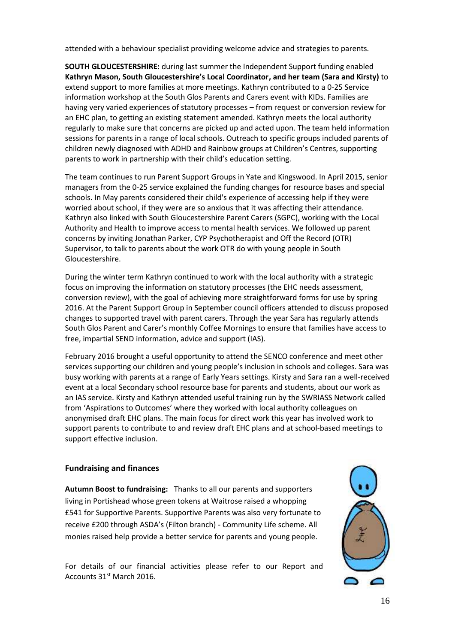attended with a behaviour specialist providing welcome advice and strategies to parents.

**SOUTH GLOUCESTERSHIRE:** during last summer the Independent Support funding enabled **Kathryn Mason, South Gloucestershire's Local Coordinator, and her team (Sara and Kirsty)** to extend support to more families at more meetings. Kathryn contributed to a 0-25 Service information workshop at the South Glos Parents and Carers event with KIDs. Families are having very varied experiences of statutory processes – from request or conversion review for an EHC plan, to getting an existing statement amended. Kathryn meets the local authority regularly to make sure that concerns are picked up and acted upon. The team held information sessions for parents in a range of local schools. Outreach to specific groups included parents of children newly diagnosed with ADHD and Rainbow groups at Children's Centres, supporting parents to work in partnership with their child's education setting.

The team continues to run Parent Support Groups in Yate and Kingswood. In April 2015, senior managers from the 0-25 service explained the funding changes for resource bases and special schools. In May parents considered their child's experience of accessing help if they were worried about school, if they were are so anxious that it was affecting their attendance. Kathryn also linked with South Gloucestershire Parent Carers (SGPC), working with the Local Authority and Health to improve access to mental health services. We followed up parent concerns by inviting Jonathan Parker, CYP Psychotherapist and Off the Record (OTR) Supervisor, to talk to parents about the work OTR do with young people in South Gloucestershire.

During the winter term Kathryn continued to work with the local authority with a strategic focus on improving the information on statutory processes (the EHC needs assessment, conversion review), with the goal of achieving more straightforward forms for use by spring 2016. At the Parent Support Group in September council officers attended to discuss proposed changes to supported travel with parent carers. Through the year Sara has regularly attends South Glos Parent and Carer's monthly Coffee Mornings to ensure that families have access to free, impartial SEND information, advice and support (IAS).

February 2016 brought a useful opportunity to attend the SENCO conference and meet other services supporting our children and young people's inclusion in schools and colleges. Sara was busy working with parents at a range of Early Years settings. Kirsty and Sara ran a well-received event at a local Secondary school resource base for parents and students, about our work as an IAS service. Kirsty and Kathryn attended useful training run by the SWRIASS Network called from 'Aspirations to Outcomes' where they worked with local authority colleagues on anonymised draft EHC plans. The main focus for direct work this year has involved work to support parents to contribute to and review draft EHC plans and at school-based meetings to support effective inclusion.

#### **Fundraising and finances**

**Autumn Boost to fundraising:** Thanks to all our parents and supporters living in Portishead whose green tokens at Waitrose raised a whopping £541 for Supportive Parents. Supportive Parents was also very fortunate to receive £200 through ASDA's (Filton branch) - Community Life scheme. All monies raised help provide a better service for parents and young people.

For details of our financial activities please refer to our Report and Accounts 31st March 2016.